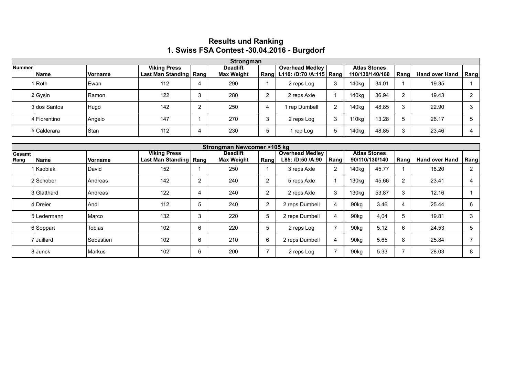## **Results und Ranking 1. Swiss FSA Contest -30.04.2016 - Burgdorf**

|           | Strongman    |         |                          |        |                   |  |                                  |  |                     |                 |                |                       |      |  |
|-----------|--------------|---------|--------------------------|--------|-------------------|--|----------------------------------|--|---------------------|-----------------|----------------|-----------------------|------|--|
| ∣Nummer I |              |         | <b>Viking Press</b>      |        | <b>Deadlift</b>   |  | <b>Overhead Medley</b>           |  | <b>Atlas Stones</b> |                 |                |                       |      |  |
|           | <b>Name</b>  | Vorname | Last Man Standing   Rang |        | <b>Max Weight</b> |  | Rang   L110: /D:70 /A:115   Rang |  |                     | 110/130/140/160 | Rang           | <b>Hand over Hand</b> | Rang |  |
|           | 1 Roth       | Ewan    | 112                      |        | 290               |  | 2 reps Log                       |  | 140kg               | 34.01           |                | 19.35                 |      |  |
|           | 2Gysin       | Ramon   | 122                      | ົ<br>J | 280               |  | 2 reps Axle                      |  | 140kg               | 36.94           | $\overline{2}$ | 19.43                 |      |  |
|           | 3 dos Santos | Hugo    | 142                      | ົ      | 250               |  | rep Dumbell                      |  | 140kg               | 48.85           | 3              | 22.90                 | 3    |  |
|           | 4 Fiorentino | Angelo  | 147                      |        | 270               |  | 2 reps Log                       |  | 110kg               | 13.28           | 5              | 26.17                 | h    |  |
|           | 5 Calderara  | Stan    | 112                      |        | 230               |  | 1 rep Log                        |  | 140kg               | 48.85           | 3              | 23.46                 |      |  |

|               | Strongman Newcomer >105 kg |                   |                          |   |                   |                |                        |                       |                     |       |                |                       |      |  |
|---------------|----------------------------|-------------------|--------------------------|---|-------------------|----------------|------------------------|-----------------------|---------------------|-------|----------------|-----------------------|------|--|
| <b>Gesamt</b> |                            |                   | <b>Viking Press</b>      |   | <b>Deadlift</b>   |                | <b>Overhead Medley</b> |                       | <b>Atlas Stones</b> |       |                |                       |      |  |
| Rang          | <b>Name</b>                | <b>Vorname</b>    | Last Man Standing   Rang |   | <b>Max Weight</b> | Rang           | L85: /D:50 /A:90       | Rang                  | 90/110/130/140      |       | Rang           | <b>Hand over Hand</b> | Rang |  |
|               | 1İKsobiak                  | David             | 152                      |   | 250               |                | 3 reps Axle            | $\overline{2}$        | 140 <sub>kg</sub>   | 45.77 |                | 18.20                 | 2    |  |
|               | 2 Schober                  | <b>IAndreas</b>   | 142                      | 2 | 240               | 2              | 5 reps Axle            |                       | 130 <sub>kg</sub>   | 45.66 | $\overline{2}$ | 23.41                 |      |  |
|               | 3 Glatthard                | <b>IAndreas</b>   | 122                      | 4 | 240               | 2              | 2 reps Axle            | 3                     | 130 <sub>kg</sub>   | 53.87 | 3              | 12.16                 |      |  |
|               | 4Dreier                    | lAndi             | 112                      | 5 | 240               | $\overline{2}$ | 2 reps Dumbell         | 4                     | 90 <sub>kg</sub>    | 3.46  | 4              | 25.44                 | 6    |  |
|               | 5 Ledermann                | IMarco            | 132                      | 3 | 220               | 5              | 2 reps Dumbell         | $\boldsymbol{\Delta}$ | 90 <sub>kg</sub>    | 4,04  | 5              | 19.81                 | 3    |  |
|               | 6 Soppart                  | Tobias            | 102                      | 6 | 220               | 5              | 2 reps Log             |                       | 90 <sub>kg</sub>    | 5.12  | 6              | 24.53                 | 5    |  |
|               | 7lJuillard                 | <b>ISebastien</b> | 102                      | 6 | 210               | 6              | 2 reps Dumbell         | $\overline{4}$        | 90 <sub>kg</sub>    | 5.65  | 8              | 25.84                 |      |  |
|               | 8 Junck                    | IMarkus           | 102                      | 6 | 200               |                | 2 reps Log             |                       | 90 <sub>kg</sub>    | 5.33  | 7              | 28.03                 | 8    |  |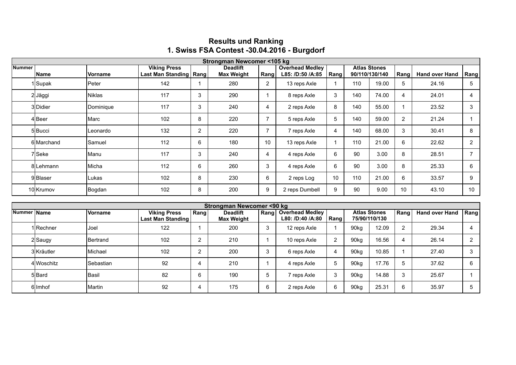|               | Strongman Newcomer <105 kg |                |                                                 |   |                                      |                |                                            |                |                                       |       |                |                       |                |
|---------------|----------------------------|----------------|-------------------------------------------------|---|--------------------------------------|----------------|--------------------------------------------|----------------|---------------------------------------|-------|----------------|-----------------------|----------------|
| <b>Nummer</b> | <b>Name</b>                | <b>Vorname</b> | <b>Viking Press</b><br>Last Man Standing   Rang |   | <b>Deadlift</b><br><b>Max Weight</b> | Rang           | <b>Overhead Medley</b><br>L85: /D:50 /A:85 | Rang           | <b>Atlas Stones</b><br>90/110/130/140 |       | Rang           | <b>Hand over Hand</b> | Rang           |
|               | 1 Supak                    | Peter          | 142                                             |   | 280                                  | $\overline{2}$ | 13 reps Axle                               |                | 110                                   | 19.00 | 5              | 24.16                 | 5              |
|               | 2Jäggi                     | lNiklas        | 117                                             | 3 | 290                                  |                | 8 reps Axle                                | 3              | 140                                   | 74.00 | 4              | 24.01                 | $\overline{4}$ |
|               | 3lDidier                   | Dominique      | 117                                             | 3 | 240                                  | 4              | 2 reps Axle                                | 8              | 140                                   | 55.00 |                | 23.52                 | 3              |
|               | 4lBeer                     | lMarc          | 102                                             | 8 | 220                                  |                | 5 reps Axle                                | 5              | 140                                   | 59.00 | $\overline{2}$ | 21.24                 |                |
|               | 5 Bucci                    | Leonardo       | 132                                             | 2 | 220                                  | $\overline{7}$ | 7 reps Axle                                | $\overline{4}$ | 140                                   | 68.00 | 3              | 30.41                 | 8              |
|               | 6 Marchand                 | Samuel         | 112                                             | 6 | 180                                  | 10             | 13 reps Axle                               |                | 110                                   | 21.00 | 6              | 22.62                 | $\overline{2}$ |
|               | 7lSeke                     | Manu           | 117                                             | 3 | 240                                  | 4              | 4 reps Axle                                | 6              | 90                                    | 3.00  | 8              | 28.51                 | $\overline{7}$ |
|               | 8ILehmann                  | Micha          | 112                                             | 6 | 260                                  | 3              | 4 reps Axle                                | 6              | 90                                    | 3.00  | 8              | 25.33                 | 6              |
|               | 9Bllaser                   | Lukas          | 102                                             | 8 | 230                                  | 6              | 2 reps Log                                 | 10             | 110                                   | 21.00 | 6              | 33.57                 | 9              |
|               | 10 Krumov                  | Bogdan         | 102                                             | 8 | 200                                  | 9              | 2 reps Dumbell                             | 9              | 90                                    | 9.00  | 10             | 43.10                 | 10             |

## **Results und Ranking 1. Swiss FSA Contest -30.04.2016 - Burgdorf**

|             | Strongman Newcomer <90 kg |                  |                                          |      |                                      |      |                                            |      |                                      |       |      |                       |            |
|-------------|---------------------------|------------------|------------------------------------------|------|--------------------------------------|------|--------------------------------------------|------|--------------------------------------|-------|------|-----------------------|------------|
| Nummer Name |                           | <b>Vorname</b>   | <b>Viking Press</b><br>Last Man Standing | Rang | <b>Deadlift</b><br><b>Max Weight</b> | Rang | <b>Overhead Medley</b><br>L80: /D:40 /A:80 | Rang | <b>Atlas Stones</b><br>75/90/110/130 |       | Rang | <b>Hand over Hand</b> | Rang       |
|             | 1 Rechner                 | lJoel            | 122                                      |      | 200                                  | 3    | 12 reps Axle                               |      | 90kg                                 | 12.09 | 2    | 29.34                 |            |
|             | 2 Saugy                   | <b>IBertrand</b> | 102                                      | ◠    | 210                                  |      | 10 reps Axle                               | ົ    | 90kg                                 | 16.56 | 4    | 26.14                 | $\sqrt{2}$ |
|             | 3 Kräutler                | <b>IMichael</b>  | 102                                      | ົ    | 200                                  | Э    | 6 reps Axle                                | 4    | 90kg                                 | 10.85 |      | 27.40                 |            |
|             | 4 Woschitz                | <b>Sebastian</b> | 92                                       | 4    | 210                                  |      | 4 reps Axle                                | 5    | 90kg                                 | 17.76 | 5    | 37.62                 | 6          |
|             | 5 Bard                    | <b>Basil</b>     | 82                                       | 6    | 190                                  | b    | 7 reps Axle                                | 3    | 90kg                                 | 14.88 | 3    | 25.67                 |            |
|             | 6llmhof                   | <b>IMartin</b>   | 92                                       | 4    | 175                                  | 6    | 2 reps Axle                                | 6    | 90kg                                 | 25.31 | 6    | 35.97                 |            |